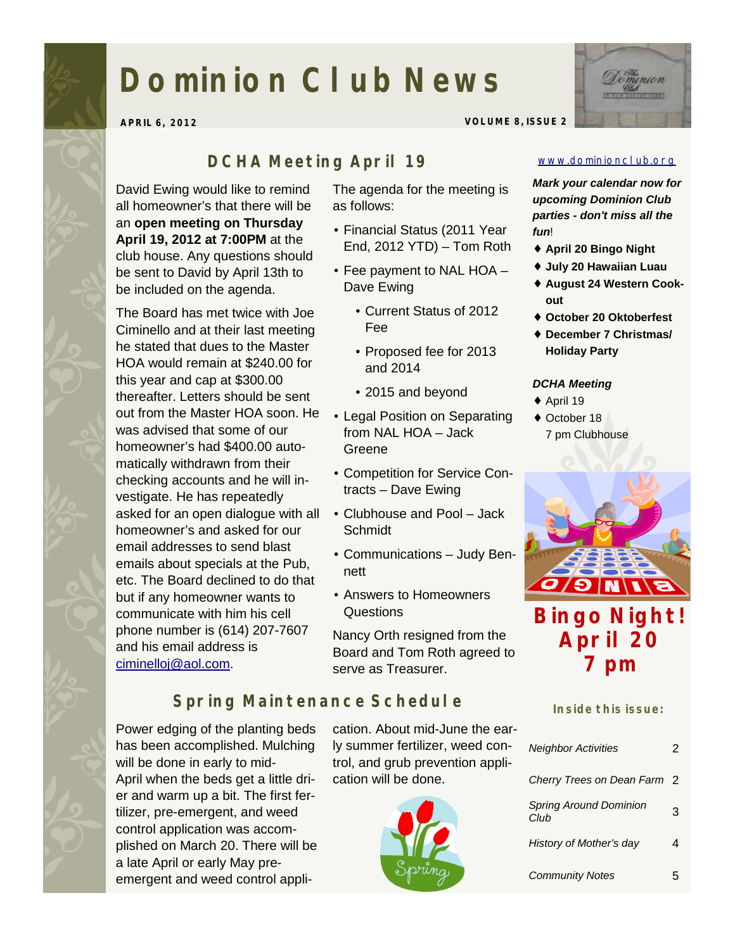# **Dominion Club News**

**APRIL 6, 2012 VOLUME 8, ISSUE 2** 



#### *DCHA Meeting April 19*

David Ewing would like to remind all homeowner's that there will be an **open meeting on Thursday April 19, 2012 at 7:00PM** at the club house. Any questions should be sent to David by April 13th to be included on the agenda.

The Board has met twice with Joe Ciminello and at their last meeting he stated that dues to the Master HOA would remain at \$240.00 for this year and cap at \$300.00 thereafter. Letters should be sent out from the Master HOA soon. He was advised that some of our homeowner's had \$400.00 automatically withdrawn from their checking accounts and he will investigate. He has repeatedly asked for an open dialogue with all homeowner's and asked for our email addresses to send blast emails about specials at the Pub, etc. The Board declined to do that but if any homeowner wants to communicate with him his cell phone number is (614) 207-7607 and his email address is [ciminelloj@aol.com.](mailto:ciminelloj@aol.com)

The agenda for the meeting is as follows:

- Financial Status (2011 Year End, 2012 YTD) – Tom Roth
- Fee payment to NAL HOA Dave Ewing
	- Current Status of 2012 Fee
	- Proposed fee for 2013 and 2014
	- 2015 and beyond
- Legal Position on Separating from NAL HOA – Jack Greene
- Competition for Service Contracts – Dave Ewing
- Clubhouse and Pool Jack Schmidt
- Communications Judy Bennett
- Answers to Homeowners Questions

Nancy Orth resigned from the Board and Tom Roth agreed to serve as Treasurer.

## *Spring Maintenance Schedule*

Power edging of the planting beds has been accomplished. Mulching will be done in early to mid-April when the beds get a little drier and warm up a bit. The first fertilizer, pre-emergent, and weed control application was accomplished on March 20. There will be a late April or early May preemergent and weed control appli-

cation. About mid-June the early summer fertilizer, weed control, and grub prevention application will be done.



#### [www.dominionclub.org](http://www.dominionclub.org)

*Mark your calendar now for upcoming Dominion Club parties - don't miss all the fun*!

- ♦ **April 20 Bingo Night**
- ♦ **July 20 Hawaiian Luau**
- ♦ **August 24 Western Cookout**
- ♦ **October 20 Oktoberfest**
- ♦ **December 7 Christmas/ Holiday Party**

#### *DCHA Meeting*

- $\triangle$  April 19
- ♦ October 18 7 pm Clubhouse



**April 20 7 pm** 

#### **Inside this issue:**

| <b>Neighbor Activities</b>            | 2              |
|---------------------------------------|----------------|
| Cherry Trees on Dean Farm             | $\overline{2}$ |
| <b>Spring Around Dominion</b><br>Club | 3              |
| History of Mother's day               |                |
| <b>Community Notes</b>                | 5              |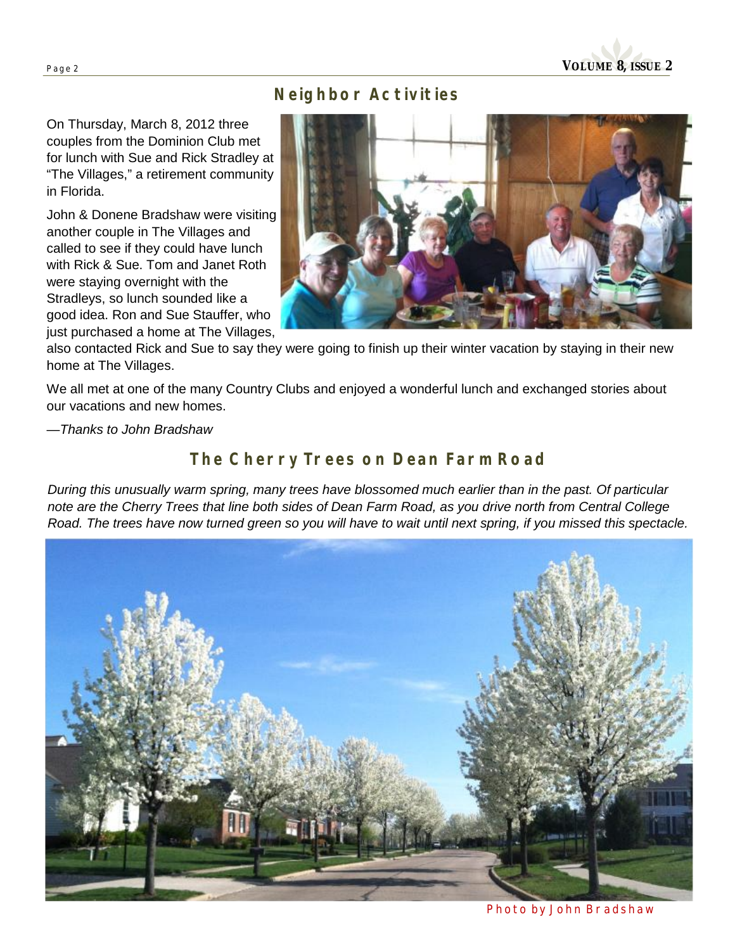

### *Neighbor Activities*

On Thursday, March 8, 2012 three couples from the Dominion Club met for lunch with Sue and Rick Stradley at "The Villages," a retirement community in Florida.

John & Donene Bradshaw were visiting another couple in The Villages and called to see if they could have lunch with Rick & Sue. Tom and Janet Roth were staying overnight with the Stradleys, so lunch sounded like a good idea. Ron and Sue Stauffer, who just purchased a home at The Villages,



also contacted Rick and Sue to say they were going to finish up their winter vacation by staying in their new home at The Villages.

We all met at one of the many Country Clubs and enjoyed a wonderful lunch and exchanged stories about our vacations and new homes.

—*Thanks to John Bradshaw* 

## *The Cherry Trees on Dean Farm Road*

*During this unusually warm spring, many trees have blossomed much earlier than in the past. Of particular note are the Cherry Trees that line both sides of Dean Farm Road, as you drive north from Central College Road. The trees have now turned green so you will have to wait until next spring, if you missed this spectacle.* 



*Photo by John Bradshaw*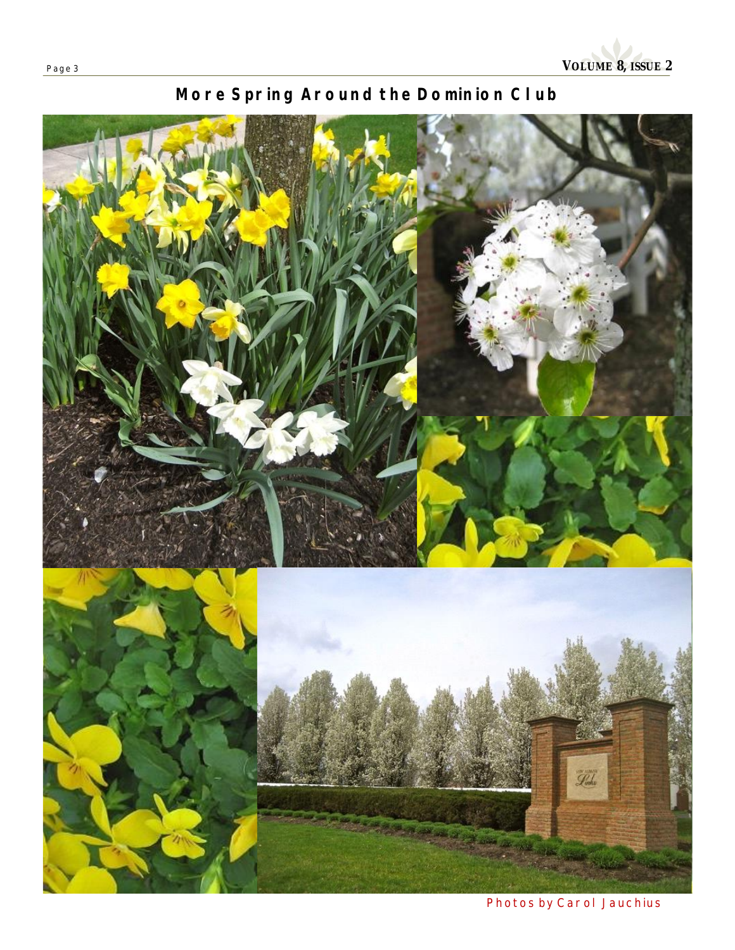## *More Spring Around the Dominion Club*



*Photos by Carol Jauchius*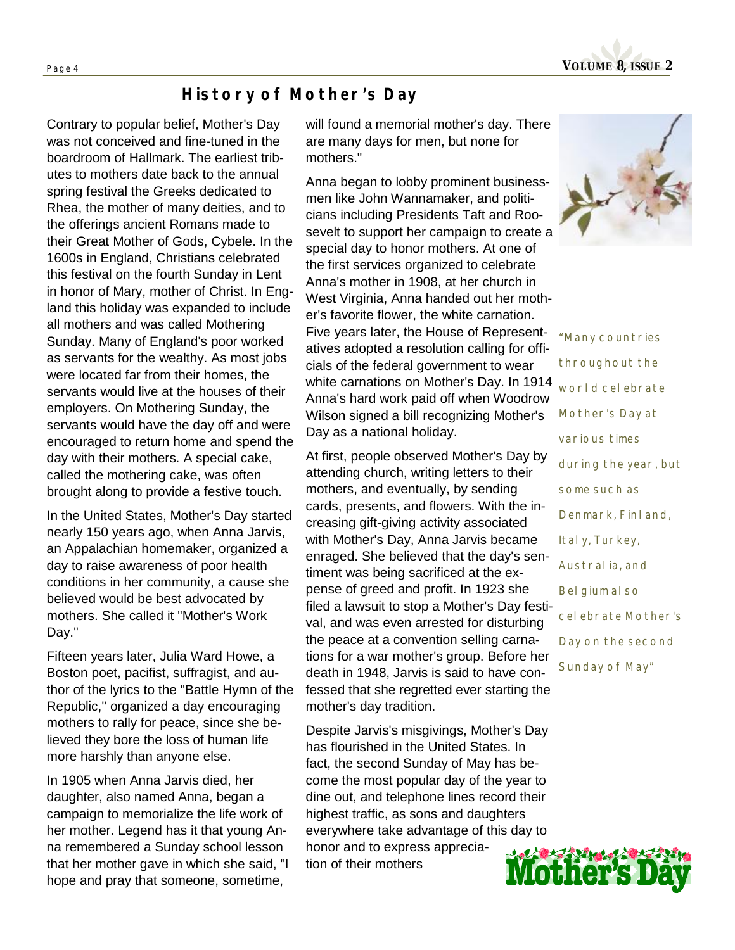

### *History of Mother's Day*

Contrary to popular belief, Mother's Day was not conceived and fine-tuned in the boardroom of Hallmark. The earliest tributes to mothers date back to the annual spring festival the Greeks dedicated to Rhea, the mother of many deities, and to the offerings ancient Romans made to their Great Mother of Gods, Cybele. In the 1600s in England, Christians celebrated this festival on the fourth Sunday in Lent in honor of Mary, mother of Christ. In England this holiday was expanded to include all mothers and was called Mothering Sunday. Many of England's poor worked as servants for the wealthy. As most jobs were located far from their homes, the servants would live at the houses of their employers. On Mothering Sunday, the servants would have the day off and were encouraged to return home and spend the day with their mothers. A special cake, called the mothering cake, was often brought along to provide a festive touch.

In the United States, Mother's Day started nearly 150 years ago, when Anna Jarvis, an Appalachian homemaker, organized a day to raise awareness of poor health conditions in her community, a cause she believed would be best advocated by mothers. She called it "Mother's Work Day."

Fifteen years later, Julia Ward Howe, a Boston poet, pacifist, suffragist, and author of the lyrics to the "Battle Hymn of the Republic," organized a day encouraging mothers to rally for peace, since she believed they bore the loss of human life more harshly than anyone else.

In 1905 when Anna Jarvis died, her daughter, also named Anna, began a campaign to memorialize the life work of her mother. Legend has it that young Anna remembered a Sunday school lesson that her mother gave in which she said, "I hope and pray that someone, sometime,

will found a memorial mother's day. There are many days for men, but none for mothers."

Anna began to lobby prominent businessmen like John Wannamaker, and politicians including Presidents Taft and Roosevelt to support her campaign to create a special day to honor mothers. At one of the first services organized to celebrate Anna's mother in 1908, at her church in West Virginia, Anna handed out her mother's favorite flower, the white carnation. Five years later, the House of Representatives adopted a resolution calling for officials of the federal government to wear white carnations on Mother's Day. In 1914 Anna's hard work paid off when Woodrow Wilson signed a bill recognizing Mother's Day as a national holiday.

At first, people observed Mother's Day by attending church, writing letters to their mothers, and eventually, by sending cards, presents, and flowers. With the increasing gift-giving activity associated with Mother's Day, Anna Jarvis became enraged. She believed that the day's sentiment was being sacrificed at the expense of greed and profit. In 1923 she filed a lawsuit to stop a Mother's Day festival, and was even arrested for disturbing the peace at a convention selling carnations for a war mother's group. Before her death in 1948, Jarvis is said to have confessed that she regretted ever starting the mother's day tradition.

Despite Jarvis's misgivings, Mother's Day has flourished in the United States. In fact, the second Sunday of May has become the most popular day of the year to dine out, and telephone lines record their highest traffic, as sons and daughters everywhere take advantage of this day to honor and to express appreciation of their mothers



*"Many countries throughout the world celebrate Mother's Day at various times during the year, but some such as Denmark, Finland, Italy, Turkey, Australia, and Belgium also celebrate Mother's Day on the second Sunday of May"*